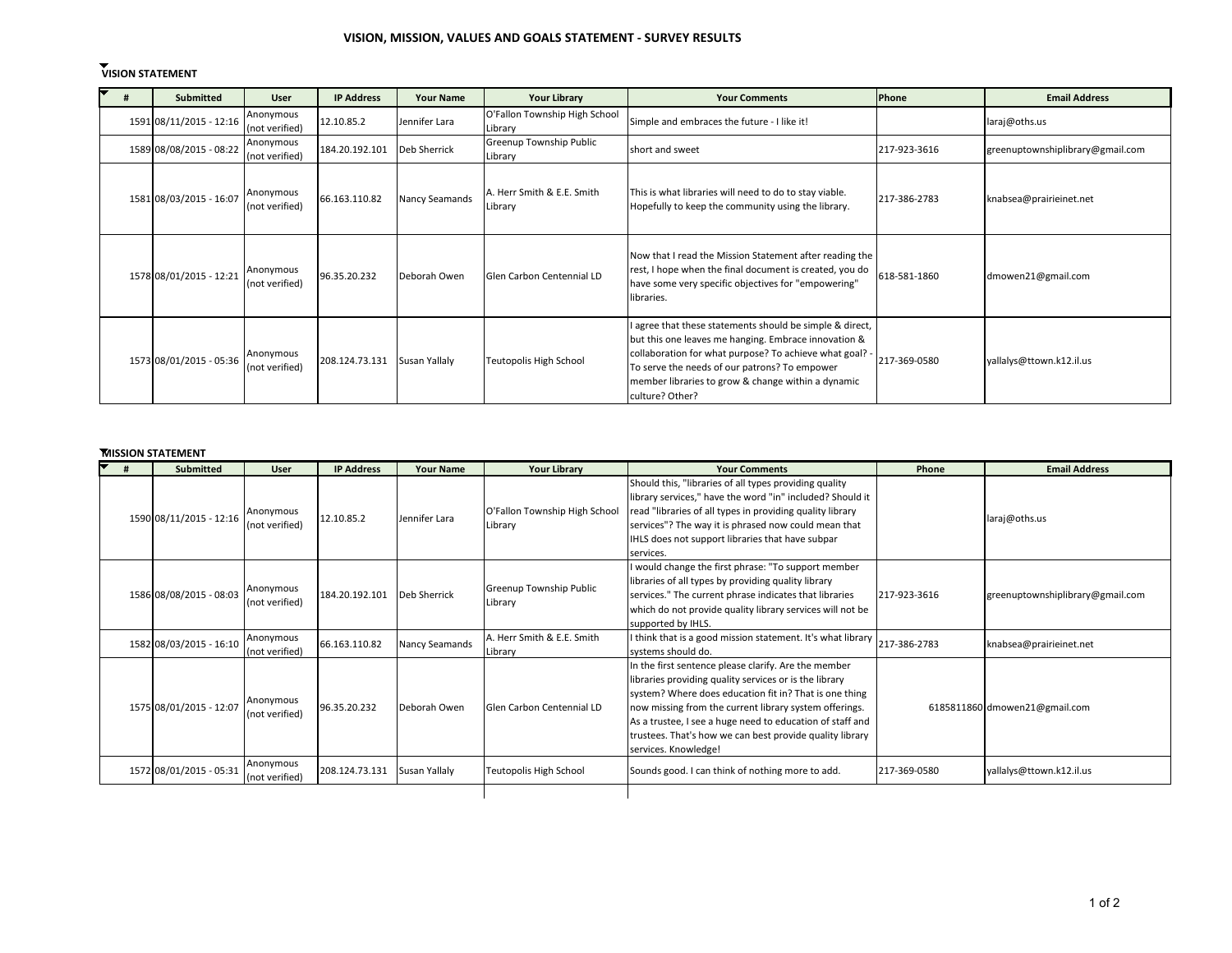# **VISION, MISSION, VALUES AND GOALS STATEMENT - SURVEY RESULTS**

# **VISION STATEMENT**

| Submitted               | <b>User</b>                 | <b>IP Address</b> | <b>Your Name</b> | <b>Your Library</b>                      | <b>Your Comments</b>                                                                                                                                                                                                                                                                                  | Phone        | <b>Email Address</b>             |
|-------------------------|-----------------------------|-------------------|------------------|------------------------------------------|-------------------------------------------------------------------------------------------------------------------------------------------------------------------------------------------------------------------------------------------------------------------------------------------------------|--------------|----------------------------------|
| 1591 08/11/2015 - 12:16 | Anonymous<br>(not verified) | 12.10.85.2        | Jennifer Lara    | O'Fallon Township High School<br>Library | Simple and embraces the future - I like it!                                                                                                                                                                                                                                                           |              | laraj@oths.us                    |
| 1589 08/08/2015 - 08:22 | Anonymous<br>(not verified) | 184.20.192.101    | Deb Sherrick     | Greenup Township Public<br>Library       | short and sweet                                                                                                                                                                                                                                                                                       | 217-923-3616 | greenuptownshiplibrary@gmail.com |
| 1581 08/03/2015 - 16:07 | Anonymous<br>(not verified) | 66.163.110.82     | Nancy Seamands   | A. Herr Smith & E.E. Smith<br>Library    | This is what libraries will need to do to stay viable.<br>Hopefully to keep the community using the library.                                                                                                                                                                                          | 217-386-2783 | knabsea@prairieinet.net          |
| 1578 08/01/2015 - 12:21 | Anonymous<br>(not verified) | 96.35.20.232      | Deborah Owen     | Glen Carbon Centennial LD                | Now that I read the Mission Statement after reading the<br>rest, I hope when the final document is created, you do<br>have some very specific objectives for "empowering"<br>libraries.                                                                                                               | 618-581-1860 | dmowen21@gmail.com               |
| 1573 08/01/2015 - 05:36 | Anonymous<br>(not verified) | 208.124.73.131    | Susan Yallaly    | Teutopolis High School                   | I agree that these statements should be simple & direct,<br>but this one leaves me hanging. Embrace innovation &<br>collaboration for what purpose? To achieve what goal? -<br>To serve the needs of our patrons? To empower<br>member libraries to grow & change within a dynamic<br>culture? Other? | 217-369-0580 | yallalys@ttown.k12.il.us         |

### **[M](http://illinoisheartland.org/?q=node/1676/webform-results/table&sort=asc&order=)ISSION STATEMENT**

| <b>Submitted</b>        | <b>User</b>                 | <b>IP Address</b> | <b>Your Name</b> | <b>Your Library</b>                      | <b>Your Comments</b>                                                                                                                                                                                                                                                                                                                                                                | Phone        | <b>Email Address</b>             |
|-------------------------|-----------------------------|-------------------|------------------|------------------------------------------|-------------------------------------------------------------------------------------------------------------------------------------------------------------------------------------------------------------------------------------------------------------------------------------------------------------------------------------------------------------------------------------|--------------|----------------------------------|
| 1590 08/11/2015 - 12:16 | Anonymous<br>(not verified) | 12.10.85.2        | Jennifer Lara    | O'Fallon Township High School<br>Library | Should this, "libraries of all types providing quality<br>library services," have the word "in" included? Should it<br>read "libraries of all types in providing quality library<br>services"? The way it is phrased now could mean that<br>IHLS does not support libraries that have subpar<br>services.                                                                           |              | laraj@oths.us                    |
| 1586 08/08/2015 - 08:03 | Anonymous<br>(not verified) | 184.20.192.101    | Deb Sherrick     | Greenup Township Public<br>Library       | I would change the first phrase: "To support member<br>libraries of all types by providing quality library<br>services." The current phrase indicates that libraries<br>which do not provide quality library services will not be<br>supported by IHLS.                                                                                                                             | 217-923-3616 | greenuptownshiplibrary@gmail.com |
| 1582 08/03/2015 - 16:10 | Anonymous<br>(not verified) | 66.163.110.82     | Nancy Seamands   | A. Herr Smith & E.E. Smith<br>Library    | I think that is a good mission statement. It's what library<br>systems should do.                                                                                                                                                                                                                                                                                                   | 217-386-2783 | knabsea@prairieinet.net          |
| 1575 08/01/2015 - 12:07 | Anonymous<br>(not verified) | 96.35.20.232      | Deborah Owen     | Glen Carbon Centennial LD                | In the first sentence please clarify. Are the member<br>libraries providing quality services or is the library<br>system? Where does education fit in? That is one thing<br>now missing from the current library system offerings.<br>As a trustee, I see a huge need to education of staff and<br>trustees. That's how we can best provide quality library<br>services. Knowledge! |              | 6185811860 dmowen21@gmail.com    |
| 1572 08/01/2015 - 05:31 | Anonymous<br>(not verified) | 208.124.73.131    | Susan Yallaly    | Teutopolis High School                   | Sounds good. I can think of nothing more to add.                                                                                                                                                                                                                                                                                                                                    | 217-369-0580 | yallalys@ttown.k12.il.us         |